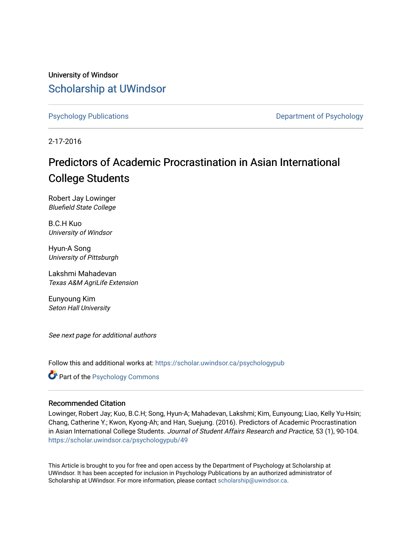University of Windsor [Scholarship at UWindsor](https://scholar.uwindsor.ca/) 

[Psychology Publications](https://scholar.uwindsor.ca/psychologypub) **Department of Psychology** 

2-17-2016

## Predictors of Academic Procrastination in Asian International College Students

Robert Jay Lowinger Bluefield State College

B.C.H Kuo University of Windsor

Hyun-A Song University of Pittsburgh

Lakshmi Mahadevan Texas A&M AgriLife Extension

Eunyoung Kim Seton Hall University

See next page for additional authors

Follow this and additional works at: [https://scholar.uwindsor.ca/psychologypub](https://scholar.uwindsor.ca/psychologypub?utm_source=scholar.uwindsor.ca%2Fpsychologypub%2F49&utm_medium=PDF&utm_campaign=PDFCoverPages) 

Part of the [Psychology Commons](http://network.bepress.com/hgg/discipline/404?utm_source=scholar.uwindsor.ca%2Fpsychologypub%2F49&utm_medium=PDF&utm_campaign=PDFCoverPages) 

## Recommended Citation

Lowinger, Robert Jay; Kuo, B.C.H; Song, Hyun-A; Mahadevan, Lakshmi; Kim, Eunyoung; Liao, Kelly Yu-Hsin; Chang, Catherine Y.; Kwon, Kyong-Ah; and Han, Suejung. (2016). Predictors of Academic Procrastination in Asian International College Students. Journal of Student Affairs Research and Practice, 53 (1), 90-104. [https://scholar.uwindsor.ca/psychologypub/49](https://scholar.uwindsor.ca/psychologypub/49?utm_source=scholar.uwindsor.ca%2Fpsychologypub%2F49&utm_medium=PDF&utm_campaign=PDFCoverPages)

This Article is brought to you for free and open access by the Department of Psychology at Scholarship at UWindsor. It has been accepted for inclusion in Psychology Publications by an authorized administrator of Scholarship at UWindsor. For more information, please contact [scholarship@uwindsor.ca.](mailto:scholarship@uwindsor.ca)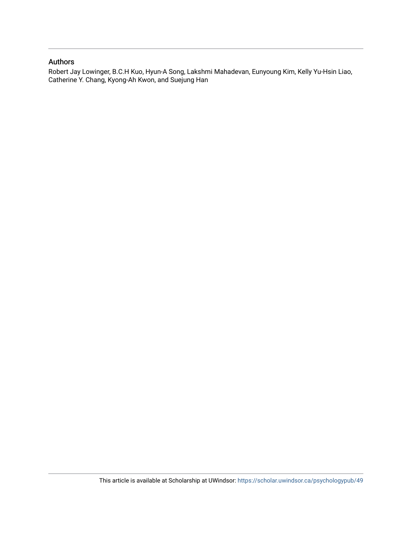## Authors

Robert Jay Lowinger, B.C.H Kuo, Hyun-A Song, Lakshmi Mahadevan, Eunyoung Kim, Kelly Yu-Hsin Liao, Catherine Y. Chang, Kyong-Ah Kwon, and Suejung Han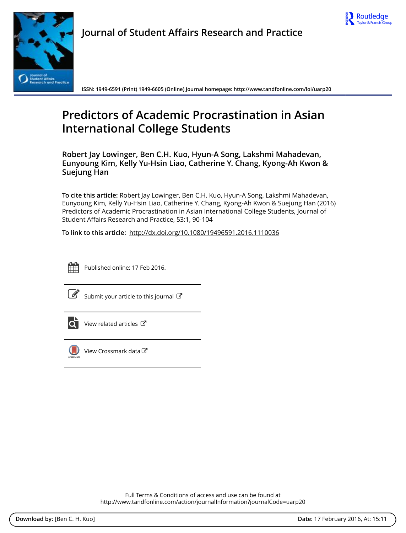



**Journal of Student Affairs Research and Practice**

**ISSN: 1949-6591 (Print) 1949-6605 (Online) Journal homepage:<http://www.tandfonline.com/loi/uarp20>**

# **Predictors of Academic Procrastination in Asian International College Students**

**Robert Jay Lowinger, Ben C.H. Kuo, Hyun-A Song, Lakshmi Mahadevan, Eunyoung Kim, Kelly Yu-Hsin Liao, Catherine Y. Chang, Kyong-Ah Kwon & Suejung Han**

**To cite this article:** Robert Jay Lowinger, Ben C.H. Kuo, Hyun-A Song, Lakshmi Mahadevan, Eunyoung Kim, Kelly Yu-Hsin Liao, Catherine Y. Chang, Kyong-Ah Kwon & Suejung Han (2016) Predictors of Academic Procrastination in Asian International College Students, Journal of Student Affairs Research and Practice, 53:1, 90-104

**To link to this article:** <http://dx.doi.org/10.1080/19496591.2016.1110036>



Published online: 17 Feb 2016.

[Submit your article to this journal](http://www.tandfonline.com/action/authorSubmission?journalCode=uarp20&page=instructions)  $\mathbb{Z}$ 



 $\overrightarrow{Q}$  [View related articles](http://www.tandfonline.com/doi/mlt/10.1080/19496591.2016.1110036)  $\overrightarrow{C}$ 



[View Crossmark data](http://crossmark.crossref.org/dialog/?doi=10.1080/19496591.2016.1110036&domain=pdf&date_stamp=2016-02-17)

Full Terms & Conditions of access and use can be found at <http://www.tandfonline.com/action/journalInformation?journalCode=uarp20>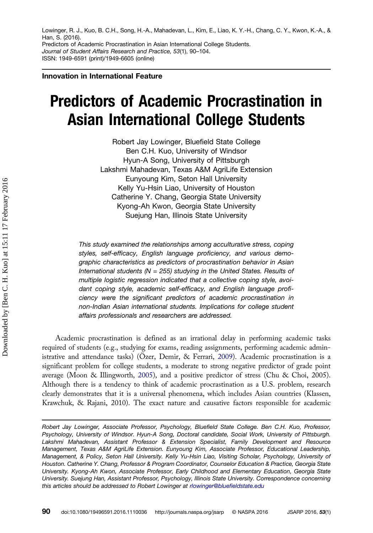Lowinger, R. J., Kuo, B. C.H., Song, H.-A., Mahadevan, L., Kim, E., Liao, K. Y.-H., Chang, C. Y., Kwon, K.-A., & Han, S. (2016). Predictors of Academic Procrastination in Asian International College Students. Journal of Student Affairs Research and Practice, 53(1), 90–104. ISSN: 1949-6591 (print)/1949-6605 (online)

Innovation in International Feature

# Predictors of Academic Procrastination in Asian International College Students

Robert Jay Lowinger, Bluefield State College Ben C.H. Kuo, University of Windsor Hyun-A Song, University of Pittsburgh Lakshmi Mahadevan, Texas A&M AgriLife Extension Eunyoung Kim, Seton Hall University Kelly Yu-Hsin Liao, University of Houston Catherine Y. Chang, Georgia State University Kyong-Ah Kwon, Georgia State University Suejung Han, Illinois State University

This study examined the relationships among acculturative stress, coping styles, self-efficacy, English language proficiency, and various demographic characteristics as predictors of procrastination behavior in Asian International students ( $N = 255$ ) studying in the United States. Results of multiple logistic regression indicated that a collective coping style, avoidant coping style, academic self-efficacy, and English language proficiency were the significant predictors of academic procrastination in non-Indian Asian international students. Implications for college student affairs professionals and researchers are addressed.

Academic procrastination is defined as an irrational delay in performing academic tasks required of students (e.g., studying for exams, reading assignments, performing academic administrative and attendance tasks) (Özer, Demir, & Ferrari, [2009](#page-16-0)). Academic procrastination is a significant problem for college students, a moderate to strong negative predictor of grade point average (Moon & Illingworth, [2005\)](#page-16-0), and a positive predictor of stress (Chu & Choi, 2005). Although there is a tendency to think of academic procrastination as a U.S. problem, research clearly demonstrates that it is a universal phenomena, which includes Asian countries (Klassen, Krawchuk, & Rajani, 2010). The exact nature and causative factors responsible for academic

Robert Jay Lowinger, Associate Professor, Psychology, Bluefield State College. Ben C.H. Kuo, Professor, Psychology, University of Windsor. Hyun-A Song, Doctoral candidate, Social Work, University of Pittsburgh. Lakshmi Mahadevan, Assistant Professor & Extension Specialist, Family Development and Resource Management, Texas A&M AgriLife Extension. Eunyoung Kim, Associate Professor, Educational Leadership, Management, & Policy, Seton Hall University. Kelly Yu-Hsin Liao, Visiting Scholar, Psychology, University of Houston. Catherine Y. Chang, Professor & Program Coordinator, Counselor Education & Practice, Georgia State University. Kyong-Ah Kwon, Associate Professor, Early Childhood and Elementary Education, Georgia State University. Suejung Han, Assistant Professor, Psychology, Illinois State University. Correspondence concerning this articles should be addressed to Robert Lowinger at [rlowinger@bluefieldstate.edu](mailto:rlowinger@bluefieldstate.edu)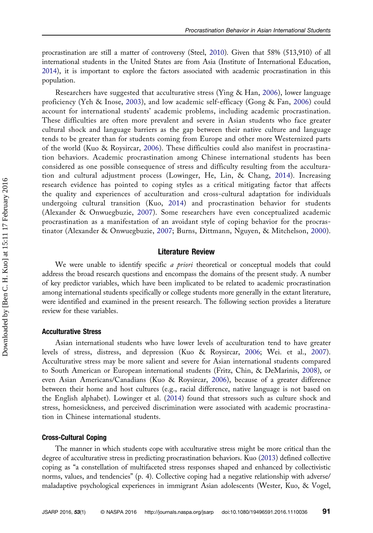procrastination are still a matter of controversy (Steel, [2010](#page-17-0)). Given that 58% (513,910) of all international students in the United States are from Asia (Institute of International Education, [2014\)](#page-16-0), it is important to explore the factors associated with academic procrastination in this population.

Researchers have suggested that acculturative stress (Ying & Han, [2006\)](#page-17-0), lower language proficiency (Yeh & Inose, [2003\)](#page-17-0), and low academic self-efficacy (Gong & Fan, [2006](#page-16-0)) could account for international students' academic problems, including academic procrastination. These difficulties are often more prevalent and severe in Asian students who face greater cultural shock and language barriers as the gap between their native culture and language tends to be greater than for students coming from Europe and other more Westernized parts of the world (Kuo & Roysircar, [2006\)](#page-16-0). These difficulties could also manifest in procrastination behaviors. Academic procrastination among Chinese international students has been considered as one possible consequence of stress and difficulty resulting from the acculturation and cultural adjustment process (Lowinger, He, Lin, & Chang, [2014](#page-16-0)). Increasing research evidence has pointed to coping styles as a critical mitigating factor that affects the quality and experiences of acculturation and cross-cultural adaptation for individuals undergoing cultural transition (Kuo, [2014](#page-16-0)) and procrastination behavior for students (Alexander & Onwuegbuzie, [2007](#page-15-0)). Some researchers have even conceptualized academic procrastination as a manifestation of an avoidant style of coping behavior for the procrastinator (Alexander & Onwuegbuzie, [2007;](#page-15-0) Burns, Dittmann, Nguyen, & Mitchelson, [2000\)](#page-15-0).

## Literature Review

We were unable to identify specific *a priori* theoretical or conceptual models that could address the broad research questions and encompass the domains of the present study. A number of key predictor variables, which have been implicated to be related to academic procrastination among international students specifically or college students more generally in the extant literature, were identified and examined in the present research. The following section provides a literature review for these variables.

## Acculturative Stress

Asian international students who have lower levels of acculturation tend to have greater levels of stress, distress, and depression (Kuo & Roysircar, [2006](#page-16-0); Wei. et al., [2007](#page-17-0)). Acculturative stress may be more salient and severe for Asian international students compared to South American or European international students (Fritz, Chin, & DeMarinis, [2008\)](#page-16-0), or even Asian Americans/Canadians (Kuo & Roysircar, [2006](#page-16-0)), because of a greater difference between their home and host cultures (e.g., racial difference, native language is not based on the English alphabet). Lowinger et al. ([2014](#page-16-0)) found that stressors such as culture shock and stress, homesickness, and perceived discrimination were associated with academic procrastination in Chinese international students.

#### Cross-Cultural Coping

The manner in which students cope with acculturative stress might be more critical than the degree of acculturative stress in predicting procrastination behaviors. Kuo [\(2013](#page-16-0)) defined collective coping as "a constellation of multifaceted stress responses shaped and enhanced by collectivistic norms, values, and tendencies" (p. 4). Collective coping had a negative relationship with adverse/ maladaptive psychological experiences in immigrant Asian adolescents (Wester, Kuo, & Vogel,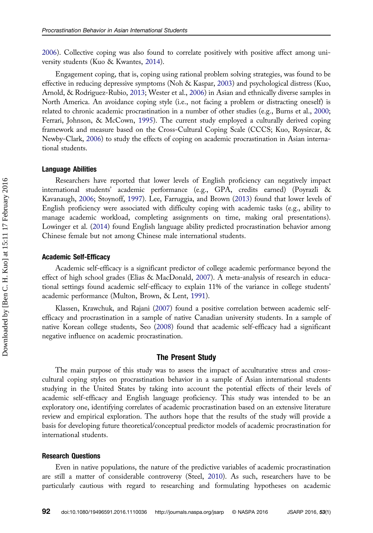[2006\)](#page-17-0). Collective coping was also found to correlate positively with positive affect among university students (Kuo & Kwantes, [2014](#page-16-0)).

Engagement coping, that is, coping using rational problem solving strategies, was found to be effective in reducing depressive symptoms (Noh & Kaspar, [2003\)](#page-16-0) and psychological distress (Kuo, Arnold, & Rodriguez-Rubio, [2013;](#page-16-0) Wester et al., [2006\)](#page-17-0) in Asian and ethnically diverse samples in North America. An avoidance coping style (i.e., not facing a problem or distracting oneself) is related to chronic academic procrastination in a number of other studies (e.g., Burns et al., [2000](#page-15-0); Ferrari, Johnson, & McCown, [1995\)](#page-16-0). The current study employed a culturally derived coping framework and measure based on the Cross-Cultural Coping Scale (CCCS; Kuo, Roysircar, & Newby-Clark, [2006\)](#page-16-0) to study the effects of coping on academic procrastination in Asian international students.

## Language Abilities

Researchers have reported that lower levels of English proficiency can negatively impact international students' academic performance (e.g., GPA, credits earned) (Poyrazli & Kavanaugh, [2006;](#page-16-0) Stoynoff, [1997](#page-17-0)). Lee, Farruggia, and Brown [\(2013](#page-16-0)) found that lower levels of English proficiency were associated with difficulty coping with academic tasks (e.g., ability to manage academic workload, completing assignments on time, making oral presentations). Lowinger et al. [\(2014](#page-16-0)) found English language ability predicted procrastination behavior among Chinese female but not among Chinese male international students.

### Academic Self-Efficacy

Academic self-efficacy is a significant predictor of college academic performance beyond the effect of high school grades (Elias & MacDonald, [2007\)](#page-16-0). A meta-analysis of research in educational settings found academic self-efficacy to explain 11% of the variance in college students' academic performance (Multon, Brown, & Lent, [1991\)](#page-16-0).

Klassen, Krawchuk, and Rajani ([2007\)](#page-16-0) found a positive correlation between academic selfefficacy and procrastination in a sample of native Canadian university students. In a sample of native Korean college students, Seo [\(2008](#page-17-0)) found that academic self-efficacy had a significant negative influence on academic procrastination.

## The Present Study

The main purpose of this study was to assess the impact of acculturative stress and crosscultural coping styles on procrastination behavior in a sample of Asian international students studying in the United States by taking into account the potential effects of their levels of academic self-efficacy and English language proficiency. This study was intended to be an exploratory one, identifying correlates of academic procrastination based on an extensive literature review and empirical exploration. The authors hope that the results of the study will provide a basis for developing future theoretical/conceptual predictor models of academic procrastination for international students.

## Research Questions

Even in native populations, the nature of the predictive variables of academic procrastination are still a matter of considerable controversy (Steel, [2010\)](#page-17-0). As such, researchers have to be particularly cautious with regard to researching and formulating hypotheses on academic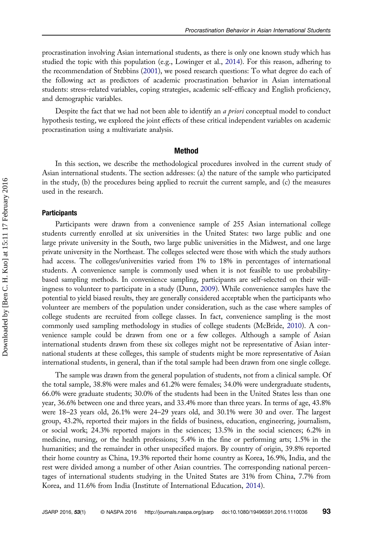procrastination involving Asian international students, as there is only one known study which has studied the topic with this population (e.g., Lowinger et al., [2014](#page-16-0)). For this reason, adhering to the recommendation of Stebbins ([2001\)](#page-17-0), we posed research questions: To what degree do each of the following act as predictors of academic procrastination behavior in Asian international students: stress-related variables, coping strategies, academic self-efficacy and English proficiency, and demographic variables.

Despite the fact that we had not been able to identify an a priori conceptual model to conduct hypothesis testing, we explored the joint effects of these critical independent variables on academic procrastination using a multivariate analysis.

### Method

In this section, we describe the methodological procedures involved in the current study of Asian international students. The section addresses: (a) the nature of the sample who participated in the study, (b) the procedures being applied to recruit the current sample, and (c) the measures used in the research.

### **Participants**

Participants were drawn from a convenience sample of 255 Asian international college students currently enrolled at six universities in the United States: two large public and one large private university in the South, two large public universities in the Midwest, and one large private university in the Northeast. The colleges selected were those with which the study authors had access. The colleges/universities varied from 1% to 18% in percentages of international students. A convenience sample is commonly used when it is not feasible to use probabilitybased sampling methods. In convenience sampling, participants are self-selected on their willingness to volunteer to participate in a study (Dunn, [2009\)](#page-16-0). While convenience samples have the potential to yield biased results, they are generally considered acceptable when the participants who volunteer are members of the population under consideration, such as the case where samples of college students are recruited from college classes. In fact, convenience sampling is the most commonly used sampling methodology in studies of college students (McBride, [2010\)](#page-16-0). A convenience sample could be drawn from one or a few colleges. Although a sample of Asian international students drawn from these six colleges might not be representative of Asian international students at these colleges, this sample of students might be more representative of Asian international students, in general, than if the total sample had been drawn from one single college.

The sample was drawn from the general population of students, not from a clinical sample. Of the total sample, 38.8% were males and 61.2% were females; 34.0% were undergraduate students, 66.0% were graduate students; 30.0% of the students had been in the United States less than one year, 36.6% between one and three years, and 33.4% more than three years. In terms of age, 43.8% were 18–23 years old, 26.1% were 24–29 years old, and 30.1% were 30 and over. The largest group, 43.2%, reported their majors in the fields of business, education, engineering, journalism, or social work; 24.3% reported majors in the sciences; 13.5% in the social sciences; 6.2% in medicine, nursing, or the health professions; 5.4% in the fine or performing arts; 1.5% in the humanities; and the remainder in other unspecified majors. By country of origin, 39.8% reported their home country as China, 19.3% reported their home country as Korea, 16.9%, India, and the rest were divided among a number of other Asian countries. The corresponding national percentages of international students studying in the United States are 31% from China, 7.7% from Korea, and 11.6% from India (Institute of International Education, [2014](#page-16-0)).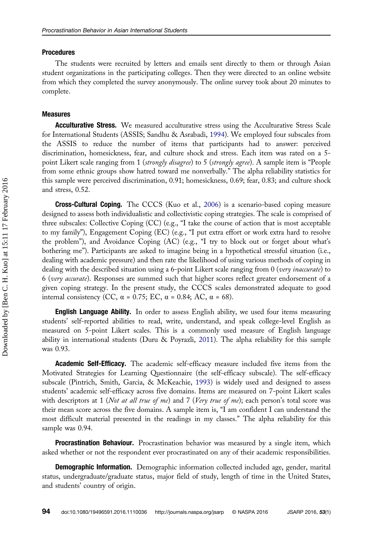## Procedures

The students were recruited by letters and emails sent directly to them or through Asian student organizations in the participating colleges. Then they were directed to an online website from which they completed the survey anonymously. The online survey took about 20 minutes to complete.

## Measures

**Acculturative Stress.** We measured acculturative stress using the Acculturative Stress Scale for International Students (ASSIS; Sandhu & Asrabadi, [1994](#page-17-0)). We employed four subscales from the ASSIS to reduce the number of items that participants had to answer: perceived discrimination, homesickness, fear, and culture shock and stress. Each item was rated on a 5 point Likert scale ranging from 1 (strongly disagree) to 5 (strongly agree). A sample item is "People from some ethnic groups show hatred toward me nonverbally." The alpha reliability statistics for this sample were perceived discrimination, 0.91; homesickness, 0.69; fear, 0.83; and culture shock and stress, 0.52.

Cross-Cultural Coping. The CCCS (Kuo et al., [2006](#page-16-0)) is a scenario-based coping measure designed to assess both individualistic and collectivistic coping strategies. The scale is comprised of three subscales: Collective Coping (CC) (e.g., "I take the course of action that is most acceptable to my family"), Engagement Coping (EC) (e.g., "I put extra effort or work extra hard to resolve the problem"), and Avoidance Coping (AC) (e.g., "I try to block out or forget about what's bothering me"). Participants are asked to imagine being in a hypothetical stressful situation (i.e., dealing with academic pressure) and then rate the likelihood of using various methods of coping in dealing with the described situation using a 6-point Likert scale ranging from 0 (very inaccurate) to 6 (very accurate). Responses are summed such that higher scores reflect greater endorsement of a given coping strategy. In the present study, the CCCS scales demonstrated adequate to good internal consistency (CC,  $\alpha$  = 0.75; EC,  $\alpha$  = 0.84; AC,  $\alpha$  = 68).

**English Language Ability.** In order to assess English ability, we used four items measuring students' self-reported abilities to read, write, understand, and speak college-level English as measured on 5-point Likert scales. This is a commonly used measure of English language ability in international students (Duru & Poyrazli, [2011\)](#page-16-0). The alpha reliability for this sample was 0.93.

**Academic Self-Efficacy.** The academic self-efficacy measure included five items from the Motivated Strategies for Learning Questionnaire (the self-efficacy subscale). The self-efficacy subscale (Pintrich, Smith, Garcia, & McKeachie, [1993](#page-16-0)) is widely used and designed to assess students' academic self-efficacy across five domains. Items are measured on 7-point Likert scales with descriptors at 1 (Not at all true of me) and 7 (Very true of me); each person's total score was their mean score across the five domains. A sample item is, "I am confident I can understand the most difficult material presented in the readings in my classes." The alpha reliability for this sample was 0.94.

**Procrastination Behaviour.** Procrastination behavior was measured by a single item, which asked whether or not the respondent ever procrastinated on any of their academic responsibilities.

**Demographic Information.** Demographic information collected included age, gender, marital status, undergraduate/graduate status, major field of study, length of time in the United States, and students' country of origin.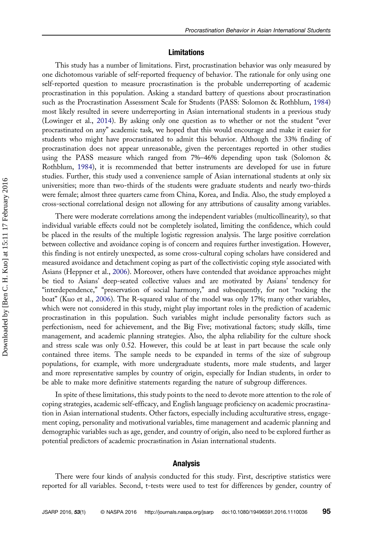## Limitations

This study has a number of limitations. First, procrastination behavior was only measured by one dichotomous variable of self-reported frequency of behavior. The rationale for only using one self-reported question to measure procrastination is the probable underreporting of academic procrastination in this population. Asking a standard battery of questions about procrastination such as the Procrastination Assessment Scale for Students (PASS: Solomon & Rothblum, [1984\)](#page-17-0) most likely resulted in severe underreporting in Asian international students in a previous study (Lowinger et al., [2014\)](#page-16-0). By asking only one question as to whether or not the student "ever procrastinated on any" academic task, we hoped that this would encourage and make it easier for students who might have procrastinated to admit this behavior. Although the 33% finding of procrastination does not appear unreasonable, given the percentages reported in other studies using the PASS measure which ranged from 7%–46% depending upon task (Solomon & Rothblum, [1984\)](#page-17-0), it is recommended that better instruments are developed for use in future studies. Further, this study used a convenience sample of Asian international students at only six universities; more than two-thirds of the students were graduate students and nearly two-thirds were female; almost three quarters came from China, Korea, and India. Also, the study employed a cross-sectional correlational design not allowing for any attributions of causality among variables.

There were moderate correlations among the independent variables (multicollinearity), so that individual variable effects could not be completely isolated, limiting the confidence, which could be placed in the results of the multiple logistic regression analysis. The large positive correlation between collective and avoidance coping is of concern and requires further investigation. However, this finding is not entirely unexpected, as some cross-cultural coping scholars have considered and measured avoidance and detachment coping as part of the collectivistic coping style associated with Asians (Heppner et al., [2006](#page-16-0)). Moreover, others have contended that avoidance approaches might be tied to Asians' deep-seated collective values and are motivated by Asians' tendency for "interdependence," "preservation of social harmony," and subsequently, for not "rocking the boat" (Kuo et al., [2006](#page-16-0)). The R-squared value of the model was only 17%; many other variables, which were not considered in this study, might play important roles in the prediction of academic procrastination in this population. Such variables might include personality factors such as perfectionism, need for achievement, and the Big Five; motivational factors; study skills, time management, and academic planning strategies. Also, the alpha reliability for the culture shock and stress scale was only 0.52. However, this could be at least in part because the scale only contained three items. The sample needs to be expanded in terms of the size of subgroup populations, for example, with more undergraduate students, more male students, and larger and more representative samples by country of origin, especially for Indian students, in order to be able to make more definitive statements regarding the nature of subgroup differences.

In spite of these limitations, this study points to the need to devote more attention to the role of coping strategies, academic self-efficacy, and English language proficiency on academic procrastination in Asian international students. Other factors, especially including acculturative stress, engagement coping, personality and motivational variables, time management and academic planning and demographic variables such as age, gender, and country of origin, also need to be explored further as potential predictors of academic procrastination in Asian international students.

## Analysis

There were four kinds of analysis conducted for this study. First, descriptive statistics were reported for all variables. Second, t-tests were used to test for differences by gender, country of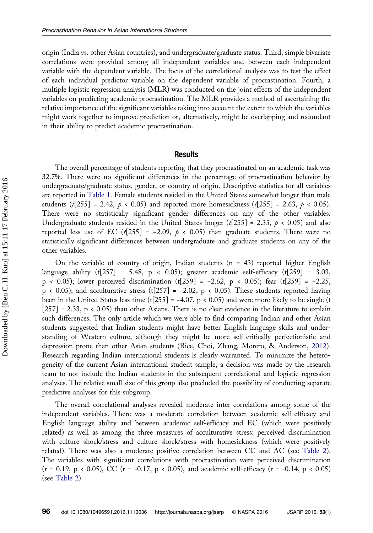origin (India vs. other Asian countries), and undergraduate/graduate status. Third, simple bivariate correlations were provided among all independent variables and between each independent variable with the dependent variable. The focus of the correlational analysis was to test the effect of each individual predictor variable on the dependent variable of procrastination. Fourth, a multiple logistic regression analysis (MLR) was conducted on the joint effects of the independent variables on predicting academic procrastination. The MLR provides a method of ascertaining the relative importance of the significant variables taking into account the extent to which the variables might work together to improve prediction or, alternatively, might be overlapping and redundant in their ability to predict academic procrastination.

## **Results**

The overall percentage of students reporting that they procrastinated on an academic task was 32.7%. There were no significant differences in the percentage of procrastination behavior by undergraduate/graduate status, gender, or country of origin. Descriptive statistics for all variables are reported in [Table 1.](#page-10-0) Female students resided in the United States somewhat longer than male students  $(t[255] = 2.42, p < 0.05)$  and reported more homesickness  $(t[255] = 2.63, p < 0.05)$ . There were no statistically significant gender differences on any of the other variables. Undergraduate students resided in the United States longer ( $t$ [255] = 2.35,  $p \lt 0.05$ ) and also reported less use of EC (t[255] = -2.09,  $p \lt 0.05$ ) than graduate students. There were no statistically significant differences between undergraduate and graduate students on any of the other variables.

On the variable of country of origin, Indian students  $(n = 43)$  reported higher English language ability (t[257] = 5.48,  $p \times 0.05$ ); greater academic self-efficacy (t[259] = 3.03, p < 0.05); lower perceived discrimination (t[259] = −2.62, p < 0.05); fear (t[259] = −2.25,  $p \times 0.05$ ); and acculturative stress (t[257] = -2.02,  $p \times 0.05$ ). These students reported having been in the United States less time (t[255] =  $-4.07$ , p < 0.05) and were more likely to be single (t [257] = 2.33, p < 0.05) than other Asians. There is no clear evidence in the literature to explain such differences. The only article which we were able to find comparing Indian and other Asian students suggested that Indian students might have better English language skills and understanding of Western culture, although they might be more self-critically perfectionistic and depression prone than other Asian students (Rice, Choi, Zhang, Morero, & Anderson, [2012](#page-17-0)). Research regarding Indian international students is clearly warranted. To minimize the heterogeneity of the current Asian international student sample, a decision was made by the research team to not include the Indian students in the subsequent correlational and logistic regression analyses. The relative small size of this group also precluded the possibility of conducting separate predictive analyses for this subgroup.

The overall correlational analyses revealed moderate inter-correlations among some of the independent variables. There was a moderate correlation between academic self-efficacy and English language ability and between academic self-efficacy and EC (which were positively related) as well as among the three measures of acculturative stress: perceived discrimination with culture shock/stress and culture shock/stress with homesickness (which were positively related). There was also a moderate positive correlation between CC and AC (see [Table 2](#page-11-0)). The variables with significant correlations with procrastination were perceived discrimination (r = 0.19, p < 0.05), CC (r = -0.17, p < 0.05), and academic self-efficacy (r = -0.14, p < 0.05) (see [Table 2](#page-11-0)).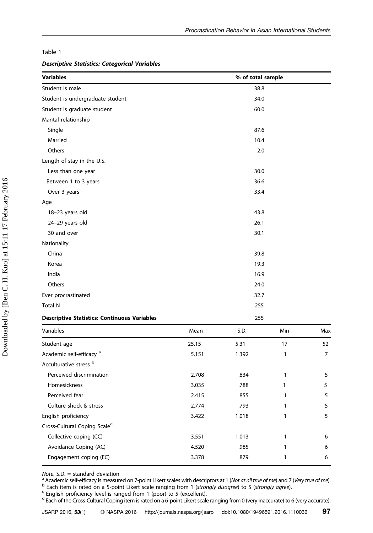## <span id="page-10-0"></span>Table 1

## Descriptive Statistics: Categorical Variables

| <b>Variables</b>                                    | % of total sample |
|-----------------------------------------------------|-------------------|
| Student is male                                     | 38.8              |
| Student is undergraduate student                    | 34.0              |
| Student is graduate student                         | 60.0              |
| Marital relationship                                |                   |
| Single                                              | 87.6              |
| Married                                             | 10.4              |
| Others                                              | 2.0               |
| Length of stay in the U.S.                          |                   |
| Less than one year                                  | 30.0              |
| Between 1 to 3 years                                | 36.6              |
| Over 3 years                                        | 33.4              |
| Age                                                 |                   |
| 18-23 years old                                     | 43.8              |
| 24-29 years old                                     | 26.1              |
| 30 and over                                         | 30.1              |
| Nationality                                         |                   |
| China                                               | 39.8              |
| Korea                                               | 19.3              |
| India                                               | 16.9              |
| Others                                              | 24.0              |
| Ever procrastinated                                 | 32.7              |
| Total N                                             | 255               |
| <b>Descriptive Statistics: Continuous Variables</b> | 255               |

| Variables                                | Mean  | S.D.  | Min | Max |
|------------------------------------------|-------|-------|-----|-----|
| Student age                              | 25.15 | 5.31  | 17  | 52  |
| Academic self-efficacy <sup>a</sup>      | 5.151 | 1.392 |     | 7   |
| Acculturative stress b                   |       |       |     |     |
| Perceived discrimination                 | 2.708 | .834  |     | 5   |
| Homesickness                             | 3.035 | .788  |     | 5   |
| Perceived fear                           | 2.415 | .855  |     | 5   |
| Culture shock & stress                   | 2.774 | .793  |     | 5   |
| English proficiency                      | 3.422 | 1.018 |     | 5   |
| Cross-Cultural Coping Scale <sup>d</sup> |       |       |     |     |
| Collective coping (CC)                   | 3.551 | 1.013 |     | 6   |
| Avoidance Coping (AC)                    | 4.520 | .985  |     | 6   |
| Engagement coping (EC)                   | 3.378 | .879  |     | 6   |

Note. S.D. = standard deviation<br>
<sup>a</sup> Academic self-efficacy is measured on 7-point Likert scales with descriptors at 1 (Not at all true of me) and 7 (Very true of me).<br>
<sup>b</sup> Each item is rated on a 5-point Likert scale ran

<sup>d</sup> Each of the Cross-Cultural Coping item is rated on a 6-point Likert scale ranging from 0 (very inaccurate) to 6 (very accurate).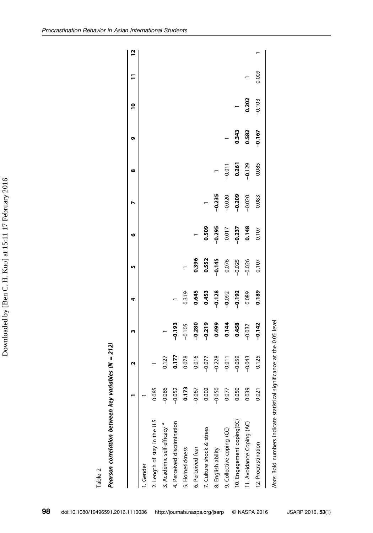<span id="page-11-0"></span>

|                                        |          | N        | m                       | 4                                           | LŊ,      | o                   |                | œ                   | o        | $\frac{1}{2}$ | F     | <u>يا</u> |
|----------------------------------------|----------|----------|-------------------------|---------------------------------------------|----------|---------------------|----------------|---------------------|----------|---------------|-------|-----------|
| 1. Gender                              |          |          |                         |                                             |          |                     |                |                     |          |               |       |           |
| 2. Length of stay in the U.S.          | 0.085    |          |                         |                                             |          |                     |                |                     |          |               |       |           |
| 3. Academic self-efficacy <sup>a</sup> | $-0.086$ | 0.127    | $\overline{a}$          |                                             |          |                     |                |                     |          |               |       |           |
| 4. Perceived discrimination            | $-0.052$ | 0.177    | $-0.193$                |                                             |          |                     |                |                     |          |               |       |           |
| 5. Homesickness                        | 0.173    | 0.078    | $-0.105$                | 0.319                                       |          |                     |                |                     |          |               |       |           |
| 6. Perceived fear                      | $-0.067$ | 0.016    | $-0.280$                | 0.645                                       | 0.396    |                     |                |                     |          |               |       |           |
| 7. Culture shock & stress              | 0.002    | $-0.077$ | $-0.219$                |                                             | 0.552    | 0.509               | $\overline{a}$ |                     |          |               |       |           |
| 8. English ability                     | $-0.050$ | $-0.228$ |                         | $0.453$<br>$-0.128$<br>$-0.092$<br>$-0.192$ | $-0.145$ | $-0.295$            | $-0.235$       |                     |          |               |       |           |
| 9. Collective coping (CC)              | 0.077    | $-0.011$ | 0.499<br>0.144<br>0.458 |                                             | 0.076    | $0.017$<br>$-0.237$ | $-0.020$       | $-0.011$            |          |               |       |           |
| 10. Engagement coping(EC)              | 0.050    | $-0.059$ |                         |                                             | $-0.025$ |                     | $-0.209$       | $0.261$<br>$-0.129$ | 0.343    |               |       |           |
| 11. Avoidance Coping (AC)              | 0.039    | $-0.043$ | $-0.037$                | 0.089                                       | $-0.026$ | 0.148               | $-0.020$       |                     | 0.582    | 0.202         |       |           |
| 12. Procrastination                    | 0.021    | 0.125    | $-0.142$                | 0.189                                       | 0.107    | 0.107               | 0.083          | 0.085               | $-0.167$ | $-0.103$      | 0.009 |           |
|                                        |          |          |                         |                                             |          |                     |                |                     |          |               |       |           |

Note: Bold numbers indicate statistical significance at the 0.05 level Note: Bold numbers indicate statistical significance at the 0.05 level

Table 2

Pearson correlation between key variables (N = 212)

Pearson correlation between key variables ( $N = 212$ )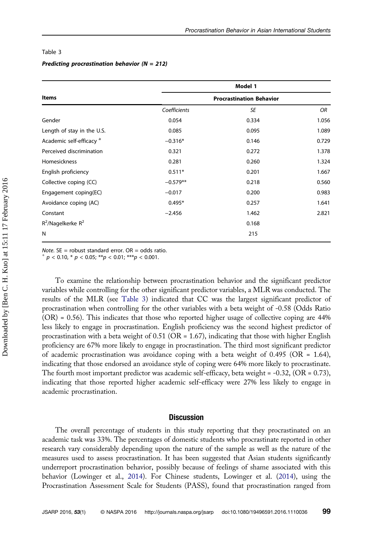#### Table 3

## Predicting procrastination behavior ( $N = 212$ )

|                                     | Model 1                         |       |       |  |
|-------------------------------------|---------------------------------|-------|-------|--|
| <b>Items</b>                        | <b>Procrastination Behavior</b> |       |       |  |
|                                     | Coefficients                    | SE    | OR    |  |
| Gender                              | 0.054                           | 0.334 | 1.056 |  |
| Length of stay in the U.S.          | 0.085                           | 0.095 | 1.089 |  |
| Academic self-efficacy <sup>a</sup> | $-0.316*$                       | 0.146 | 0.729 |  |
| Perceived discrimination            | 0.321                           | 0.272 | 1.378 |  |
| Homesickness                        | 0.281                           | 0.260 | 1.324 |  |
| English proficiency                 | $0.511*$                        | 0.201 | 1.667 |  |
| Collective coping (CC)              | $-0.579**$                      | 0.218 | 0.560 |  |
| Engagement coping(EC)               | $-0.017$                        | 0.200 | 0.983 |  |
| Avoidance coping (AC)               | $0.495*$                        | 0.257 | 1.641 |  |
| Constant                            | $-2.456$                        | 1.462 | 2.821 |  |
| $R^2$ /Nagelkerke $R^2$             |                                 | 0.168 |       |  |
| N                                   |                                 | 215   |       |  |

*Note.* SE = robust standard error. OR = odds ratio.<br>  $p \le 0.10$ ,  $p \le 0.05$ ;  $p \le 0.01$ ;  $p \le 0.001$ .

To examine the relationship between procrastination behavior and the significant predictor variables while controlling for the other significant predictor variables, a MLR was conducted. The results of the MLR (see Table 3) indicated that CC was the largest significant predictor of procrastination when controlling for the other variables with a beta weight of -0.58 (Odds Ratio (OR) = 0.56). This indicates that those who reported higher usage of collective coping are 44% less likely to engage in procrastination. English proficiency was the second highest predictor of procrastination with a beta weight of  $0.51$  (OR = 1.67), indicating that those with higher English proficiency are 67% more likely to engage in procrastination. The third most significant predictor of academic procrastination was avoidance coping with a beta weight of 0.495 (OR = 1.64), indicating that those endorsed an avoidance style of coping were 64% more likely to procrastinate. The fourth most important predictor was academic self-efficacy, beta weight =  $-0.32$ , (OR = 0.73), indicating that those reported higher academic self-efficacy were 27% less likely to engage in academic procrastination.

## **Discussion**

The overall percentage of students in this study reporting that they procrastinated on an academic task was 33%. The percentages of domestic students who procrastinate reported in other research vary considerably depending upon the nature of the sample as well as the nature of the measures used to assess procrastination. It has been suggested that Asian students significantly underreport procrastination behavior, possibly because of feelings of shame associated with this behavior (Lowinger et al., [2014\)](#page-16-0). For Chinese students, Lowinger et al. [\(2014](#page-16-0)), using the Procrastination Assessment Scale for Students (PASS), found that procrastination ranged from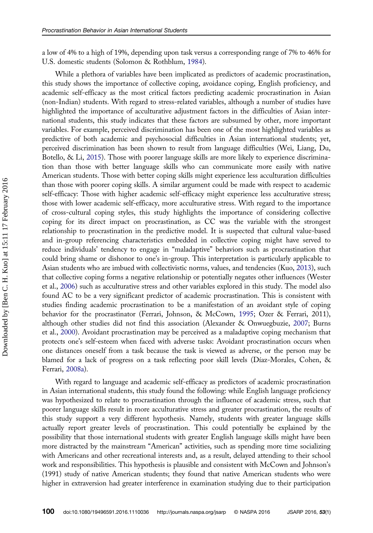a low of 4% to a high of 19%, depending upon task versus a corresponding range of 7% to 46% for U.S. domestic students (Solomon & Rothblum, [1984](#page-17-0)).

While a plethora of variables have been implicated as predictors of academic procrastination, this study shows the importance of collective coping, avoidance coping, English proficiency, and academic self-efficacy as the most critical factors predicting academic procrastination in Asian (non-Indian) students. With regard to stress-related variables, although a number of studies have highlighted the importance of acculturative adjustment factors in the difficulties of Asian international students, this study indicates that these factors are subsumed by other, more important variables. For example, perceived discrimination has been one of the most highlighted variables as predictive of both academic and psychosocial difficulties in Asian international students; yet, perceived discrimination has been shown to result from language difficulties (Wei, Liang, Du, Botello, & Li, [2015\)](#page-17-0). Those with poorer language skills are more likely to experience discrimination than those with better language skills who can communicate more easily with native American students. Those with better coping skills might experience less acculturation difficulties than those with poorer coping skills. A similar argument could be made with respect to academic self-efficacy: Those with higher academic self-efficacy might experience less acculturative stress; those with lower academic self-efficacy, more acculturative stress. With regard to the importance of cross-cultural coping styles, this study highlights the importance of considering collective coping for its direct impact on procrastination, as CC was the variable with the strongest relationship to procrastination in the predictive model. It is suspected that cultural value-based and in-group referencing characteristics embedded in collective coping might have served to reduce individuals' tendency to engage in "maladaptive" behaviors such as procrastination that could bring shame or dishonor to one's in-group. This interpretation is particularly applicable to Asian students who are imbued with collectivistic norms, values, and tendencies (Kuo, [2013\)](#page-16-0), such that collective coping forms a negative relationship or potentially negates other influences (Wester et al., [2006](#page-17-0)) such as acculturative stress and other variables explored in this study. The model also found AC to be a very significant predictor of academic procrastination. This is consistent with studies finding academic procrastination to be a manifestation of an avoidant style of coping behavior for the procrastinator (Ferrari, Johnson, & McCown, [1995;](#page-16-0) Ozer & Ferrari, 2011), although other studies did not find this association (Alexander & Onwuegbuzie, [2007](#page-15-0); Burns et al., [2000\)](#page-15-0). Avoidant procrastination may be perceived as a maladaptive coping mechanism that protects one's self-esteem when faced with adverse tasks: Avoidant procrastination occurs when one distances oneself from a task because the task is viewed as adverse, or the person may be blamed for a lack of progress on a task reflecting poor skill levels (Díaz-Morales, Cohen, & Ferrari, [2008a](#page-16-0)).

With regard to language and academic self-efficacy as predictors of academic procrastination in Asian international students, this study found the following: while English language proficiency was hypothesized to relate to procrastination through the influence of academic stress, such that poorer language skills result in more acculturative stress and greater procrastination, the results of this study support a very different hypothesis. Namely, students with greater language skills actually report greater levels of procrastination. This could potentially be explained by the possibility that those international students with greater English language skills might have been more distracted by the mainstream "American" activities, such as spending more time socializing with Americans and other recreational interests and, as a result, delayed attending to their school work and responsibilities. This hypothesis is plausible and consistent with McCown and Johnson's (1991) study of native American students; they found that native American students who were higher in extraversion had greater interference in examination studying due to their participation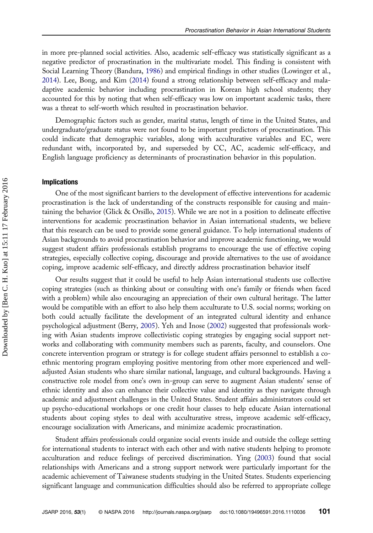in more pre-planned social activities. Also, academic self-efficacy was statistically significant as a negative predictor of procrastination in the multivariate model. This finding is consistent with Social Learning Theory (Bandura, [1986\)](#page-15-0) and empirical findings in other studies (Lowinger et al., [2014\)](#page-16-0). Lee, Bong, and Kim [\(2014](#page-16-0)) found a strong relationship between self-efficacy and maladaptive academic behavior including procrastination in Korean high school students; they accounted for this by noting that when self-efficacy was low on important academic tasks, there was a threat to self-worth which resulted in procrastination behavior.

Demographic factors such as gender, marital status, length of time in the United States, and undergraduate/graduate status were not found to be important predictors of procrastination. This could indicate that demographic variables, along with acculturative variables and EC, were redundant with, incorporated by, and superseded by CC, AC, academic self-efficacy, and English language proficiency as determinants of procrastination behavior in this population.

## Implications

One of the most significant barriers to the development of effective interventions for academic procrastination is the lack of understanding of the constructs responsible for causing and maintaining the behavior (Glick & Orsillo, [2015\)](#page-16-0). While we are not in a position to delineate effective interventions for academic procrastination behavior in Asian international students, we believe that this research can be used to provide some general guidance. To help international students of Asian backgrounds to avoid procrastination behavior and improve academic functioning, we would suggest student affairs professionals establish programs to encourage the use of effective coping strategies, especially collective coping, discourage and provide alternatives to the use of avoidance coping, improve academic self-efficacy, and directly address procrastination behavior itself

Our results suggest that it could be useful to help Asian international students use collective coping strategies (such as thinking about or consulting with one's family or friends when faced with a problem) while also encouraging an appreciation of their own cultural heritage. The latter would be compatible with an effort to also help them acculturate to U.S. social norms; working on both could actually facilitate the development of an integrated cultural identity and enhance psychological adjustment (Berry, [2005\)](#page-15-0). Yeh and Inose [\(2002](#page-17-0)) suggested that professionals working with Asian students improve collectivistic coping strategies by engaging social support networks and collaborating with community members such as parents, faculty, and counselors. One concrete intervention program or strategy is for college student affairs personnel to establish a coethnic mentoring program employing positive mentoring from other more experienced and welladjusted Asian students who share similar national, language, and cultural backgrounds. Having a constructive role model from one's own in-group can serve to augment Asian students' sense of ethnic identity and also can enhance their collective value and identity as they navigate through academic and adjustment challenges in the United States. Student affairs administrators could set up psycho-educational workshops or one credit hour classes to help educate Asian international students about coping styles to deal with acculturative stress, improve academic self-efficacy, encourage socialization with Americans, and minimize academic procrastination.

Student affairs professionals could organize social events inside and outside the college setting for international students to interact with each other and with native students helping to promote acculturation and reduce feelings of perceived discrimination. Ying [\(2003](#page-17-0)) found that social relationships with Americans and a strong support network were particularly important for the academic achievement of Taiwanese students studying in the United States. Students experiencing significant language and communication difficulties should also be referred to appropriate college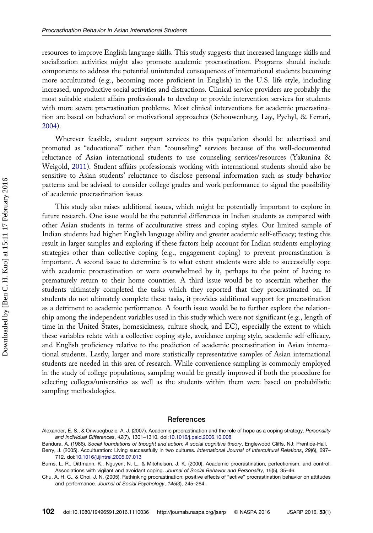<span id="page-15-0"></span>resources to improve English language skills. This study suggests that increased language skills and socialization activities might also promote academic procrastination. Programs should include components to address the potential unintended consequences of international students becoming more acculturated (e.g., becoming more proficient in English) in the U.S. life style, including increased, unproductive social activities and distractions. Clinical service providers are probably the most suitable student affairs professionals to develop or provide intervention services for students with more severe procrastination problems. Most clinical interventions for academic procrastination are based on behavioral or motivational approaches (Schouwenburg, Lay, Pychyl, & Ferrari, [2004\)](#page-17-0).

Wherever feasible, student support services to this population should be advertised and promoted as "educational" rather than "counseling" services because of the well-documented reluctance of Asian international students to use counseling services/resources (Yakunina & Weigold, [2011](#page-17-0)). Student affairs professionals working with international students should also be sensitive to Asian students' reluctance to disclose personal information such as study behavior patterns and be advised to consider college grades and work performance to signal the possibility of academic procrastination issues

This study also raises additional issues, which might be potentially important to explore in future research. One issue would be the potential differences in Indian students as compared with other Asian students in terms of acculturative stress and coping styles. Our limited sample of Indian students had higher English language ability and greater academic self-efficacy; testing this result in larger samples and exploring if these factors help account for Indian students employing strategies other than collective coping (e.g., engagement coping) to prevent procrastination is important. A second issue to determine is to what extent students were able to successfully cope with academic procrastination or were overwhelmed by it, perhaps to the point of having to prematurely return to their home countries. A third issue would be to ascertain whether the students ultimately completed the tasks which they reported that they procrastinated on. If students do not ultimately complete these tasks, it provides additional support for procrastination as a detriment to academic performance. A fourth issue would be to further explore the relationship among the independent variables used in this study which were not significant (e.g., length of time in the United States, homesickness, culture shock, and EC), especially the extent to which these variables relate with a collective coping style, avoidance coping style, academic self-efficacy, and English proficiency relative to the prediction of academic procrastination in Asian international students. Lastly, larger and more statistically representative samples of Asian international students are needed in this area of research. While convenience sampling is commonly employed in the study of college populations, sampling would be greatly improved if both the procedure for selecting colleges/universities as well as the students within them were based on probabilistic sampling methodologies.

## **References**

Alexander, E. S., & Onwuegbuzie, A. J. (2007). Academic procrastination and the role of hope as a coping strategy. Personality and Individual Differences, 42(7), 1301–1310. doi[:10.1016/j.paid.2006.10.008](http://dx.doi.org/10.1016/j.paid.2006.10.008)

Bandura, A. (1986). Social foundations of thought and action: A social cognitive theory. Englewood Cliffs, NJ: Prentice-Hall. Berry, J. (2005). Acculturation: Living successfully in two cultures. International Journal of Intercultural Relations, 29(6), 697–

<sup>712.</sup> doi:[10.1016/j.ijintrel.2005.07.013](http://dx.doi.org/10.1016/j.ijintrel.2005.07.013)

Burns, L. R., Dittmann, K., Nguyen, N. L., & Mitchelson, J. K. (2000). Academic procrastination, perfectionism, and control: Associations with vigilant and avoidant coping. Journal of Social Behavior and Personality, 15(5), 35–46.

Chu, A. H. C., & Choi, J. N. (2005). Rethinking procrastination: positive effects of "active" procrastination behavior on attitudes and performance. Journal of Social Psychology, 145(3), 245–264.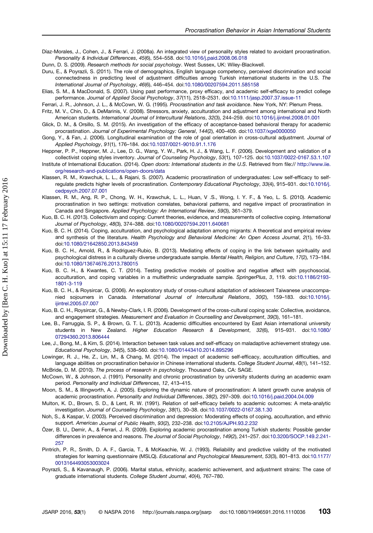<span id="page-16-0"></span>Díaz-Morales, J., Cohen, J., & Ferrari, J. (2008a). An integrated view of personality styles related to avoidant procrastination. Personality & Individual Differences, 45(6), 554–558. doi[:10.1016/j.paid.2008.06.018](http://dx.doi.org/10.1016/j.paid.2008.06.018)

Dunn, D. S. (2009). Research methods for social psychology. West Sussex, UK: Wiley-Blackwell.

- Duru, E., & Poyrazli, S. (2011). The role of demographics, English language competency, perceived discrimination and social connectedness in predicting level of adjustment difficulties among Turkish international students in the U.S. The International Journal of Psychology, 46(6), 446–454. doi:[10.1080/00207594.2011.585158](http://dx.doi.org/10.1080/00207594.2011.585158)
- Elias, S. M., & MacDonald, S. (2007). Using past performance, proxy efficacy, and academic self-efficacy to predict college performance. Journal of Applied Social Psychology, 37(11), 2518–2531. doi[:10.1111/jasp.2007.37.issue-11](http://dx.doi.org/10.1111/jasp.2007.37.issue-11)
- Ferrari, J. R., Johnson, J. L., & McCown, W. G. (1995). Procrastination and task avoidance. New York, NY: Plenum Press.
- Fritz, M. V., Chin, D., & DeMarinis, V. (2008). Stressors, anxiety, acculturation and adjustment among international and North American students. International Journal of Intercultural Relations, 32(3), 244–259. doi[:10.1016/j.ijintrel.2008.01.001](http://dx.doi.org/10.1016/j.ijintrel.2008.01.001)
- Glick, D. M., & Orsillo, S. M. (2015). An investigation of the efficacy of acceptance-based behavioral therapy for academic procrastination. Journal of Experimental Psychology: General, 144(2), 400–409. doi[:10.1037/xge0000050](http://dx.doi.org/10.1037/xge0000050)
- Gong, Y., & Fan, J. (2006). Longitudinal examination of the role of goal orientation in cross-cultural adjustment. Journal of Applied Psychology, 91(1), 176–184. doi[:10.1037/0021-9010.91.1.176](http://dx.doi.org/10.1037/0021-9010.91.1.176)
- Heppner, P. P., Heppner, M. J., Lee, D. G., Wang, Y. W., Park, H. J., & Wang, L. F. (2006). Development and validation of a collectivist coping styles inventory. Journal of Counseling Psychology, 53(1), 107–125. doi[:10.1037/0022-0167.53.1.107](http://dx.doi.org/10.1037/0022-0167.53.1.107)
- Institute of International Education. (2014). Open doors: International students in the U.S. Retrieved from file:// [http://www.iie.](http://www.iie.org/research-and-publications/open-doors/data) [org/research-and-publications/open-doors/data](http://www.iie.org/research-and-publications/open-doors/data)
- Klassen, R. M., Krawchuk, L. L., & Rajani, S. (2007). Academic procrastination of undergraduates: Low self-efficacy to selfregulate predicts higher levels of procrastination. Contemporary Educational Psychology, 33(4), 915–931. doi[:10.1016/j.](http://dx.doi.org/10.1016/j.cedpsych.2007.07.001) [cedpsych.2007.07.001](http://dx.doi.org/10.1016/j.cedpsych.2007.07.001)
- Klassen, R. M., Ang, R. P., Chong, W. H., Krawchuk, L. L., Huan, V .S., Wong, I. Y. F., & Yeo, L. S. (2010). Academic procrastination in two settings: motivation correlates, behavioral patterns, and negative impact of procrastination in Canada and Singapore. Applied Psychology: An International Review, 59(3), 361–379.
- Kuo, B. C. H. (2013). Collectivism and coping: Current theories, evidence, and measurements of collective coping. International Journal of Psychology, 48(3), 374–388. doi[:10.1080/00207594.2011.640681](http://dx.doi.org/10.1080/00207594.2011.640681)
- Kuo, B. C. H. (2014). Coping, acculturation, and psychological adaptation among migrants: A theoretical and empirical review and synthesis of the literature. Health Psychology and Behavioral Medicine: An Open Access Journal, 2(1), 16–33. doi[:10.1080/21642850.2013.843459](http://dx.doi.org/10.1080/21642850.2013.843459)
- Kuo, B. C. H., Arnold, R., & Rodriguez-Rubio, B. (2013). Mediating effects of coping in the link between spirituality and psychological distress in a culturally diverse undergraduate sample. Mental Health, Religion, and Culture, 17(2), 173–184. doi[:10.1080/13674676.2013.780015](http://dx.doi.org/10.1080/13674676.2013.780015)
- Kuo, B. C. H., & Kwantes, C. T. (2014). Testing predictive models of positive and negative affect with psychosocial, acculturation, and coping variables in a multiethnic undergraduate sample. SpringerPlus, 3, 119. doi[:10.1186/2193-](http://dx.doi.org/10.1186/2193-1801-3-119) [1801-3-119](http://dx.doi.org/10.1186/2193-1801-3-119)
- Kuo, B. C. H., & Roysircar, G. (2006). An exploratory study of cross-cultural adaptation of adolescent Taiwanese unaccompa-nied sojourners in Canada. International Journal of Intercultural Relations, 30(2), 159-183. doi[:10.1016/j.](http://dx.doi.org/10.1016/j.ijintrel.2005.07.007) [ijintrel.2005.07.007](http://dx.doi.org/10.1016/j.ijintrel.2005.07.007)
- Kuo, B. C. H., Roysircar, G., & Newby-Clark, I. R. (2006). Development of the cross-cultural coping scale: Collective, avoidance, and engagement strategies. Measurement and Evaluation in Counselling and Development, 39(3), 161–181.
- Lee, B., Farruggia, S. P., & Brown, G. T. L. (2013). Academic difficulties encountered by East Asian international university students in New Zealand. Higher Education Research & Development, 32(6), 915–931. doi:[10.1080/](http://dx.doi.org/10.1080/07294360.2013.806444) [07294360.2013.806444](http://dx.doi.org/10.1080/07294360.2013.806444)
- Lee, J., Bong, M., & Kim, S. (2014). Interaction between task values and self-efficacy on maladaptive achievement strategy use. Educational Psychology, 34(5), 538–560. doi:[10.1080/01443410.2014.895296](http://dx.doi.org/10.1080/01443410.2014.895296)
- Lowinger, R. J., He, Z., Lin, M., & Chang, M. (2014). The impact of academic self-efficacy, acculturation difficulties, and language abilities on procrastination behavior in Chinese international students. College Student Journal, 48(1), 141-152. McBride, D. M. (2010). The process of research in psychology. Thousand Oaks, CA: SAGE.
- McCown, W., & Johnson, J. (1991). Personality and chronic procrastination by university students during an academic exam period. Personality and Individual Differences, 12, 413–415.
- Moon, S. M., & Illingworth, A. J. (2005). Exploring the dynamic nature of procrastination: A latent growth curve analysis of academic procrastination. Personality and Individual Differences, 38(2), 297–309. doi[:10.1016/j.paid.2004.04.009](http://dx.doi.org/10.1016/j.paid.2004.04.009)
- Multon, K. D., Brown, S. D., & Lent, R. W. (1991). Relation of self-efficacy beliefs to academic outcomes: A meta-analytic investigation. Journal of Counseling Psychology, 38(1), 30–38. doi:[10.1037/0022-0167.38.1.30](http://dx.doi.org/10.1037/0022-0167.38.1.30)
- Noh, S., & Kaspar, V. (2003). Perceived discrimination and depression: Moderating effects of coping, acculturation, and ethnic support. American Journal of Public Health, 93(2), 232–238. doi:[10.2105/AJPH.93.2.232](http://dx.doi.org/10.2105/AJPH.93.2.232)
- Özer, B. U., Demir, A., & Ferrari, J. R. (2009). Exploring academic procrastination among Turkish students: Possible gender differences in prevalence and reasons. The Journal of Social Psychology, 149(2), 241–257. doi:[10.3200/SOCP.149.2.241-](http://dx.doi.org/10.3200/SOCP.149.2.241-257) [257](http://dx.doi.org/10.3200/SOCP.149.2.241-257)
- Pintrich, P. R., Smith, D. A. F., Garcia, T., & McKeachie, W. J. (1993). Reliability and predictive validity of the motivated strategies for learning questionnaire (MSLQ). Educational and Psychological Measurement, 53(3), 801-813. doi:[10.1177/](http://dx.doi.org/10.1177/0013164493053003024) [0013164493053003024](http://dx.doi.org/10.1177/0013164493053003024)
- Poyrazli, S., & Kavanaugh, P. (2006). Marital status, ethnicity, academic achievement, and adjustment strains: The case of graduate international students. College Student Journal, 40(4), 767–780.